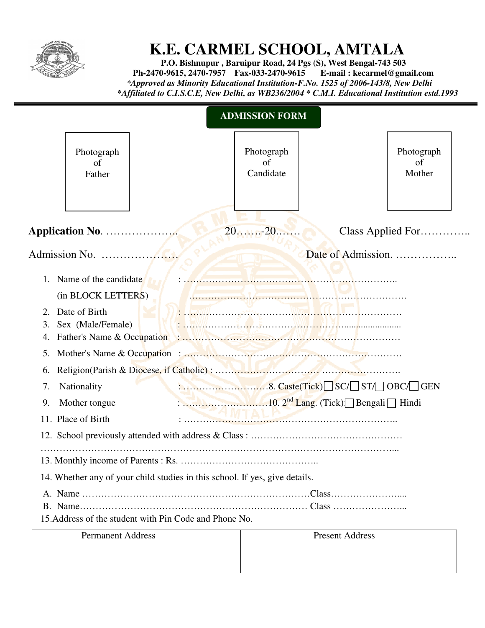

## **K.E. CARMEL SCHOOL, AMTALA**

 **P.O. Bishnupur , Baruipur Road, 24 Pgs (S), West Bengal-743 503 Ph-2470-9615, 2470-7957 Fax-033-2470-9615**  *\*Approved as Minority Educational Institution-F.No. 1525 of 2006-143/8, New Delhi \*Affiliated to C.I.S.C.E, New Delhi, as WB236/2004 \* C.M.I. Educational Institution estd.1993* 

|                                                      |                                                          |                                                                             | <b>ADMISSION FORM</b>                 |                        |                            |
|------------------------------------------------------|----------------------------------------------------------|-----------------------------------------------------------------------------|---------------------------------------|------------------------|----------------------------|
|                                                      | Photograph<br>of<br>Father                               |                                                                             | Photograph<br>$\sigma$ f<br>Candidate |                        | Photograph<br>of<br>Mother |
|                                                      |                                                          |                                                                             | 2020                                  | Date of Admission.     | Class Applied For          |
| $1_{-}$                                              | Name of the candidate<br>(in BLOCK LETTERS)              |                                                                             |                                       |                        |                            |
| Date of Birth<br>2.<br>Sex (Male/Female)<br>3.<br>4. |                                                          |                                                                             |                                       |                        |                            |
| 5.                                                   |                                                          |                                                                             |                                       |                        |                            |
| 7.<br>9.                                             | 6.<br>Nationality<br>Mother tongue<br>11. Place of Birth |                                                                             |                                       |                        |                            |
|                                                      |                                                          | 14. Whether any of your child studies in this school. If yes, give details. |                                       |                        |                            |
|                                                      |                                                          | 15.Address of the student with Pin Code and Phone No.                       |                                       |                        |                            |
|                                                      | <b>Permanent Address</b>                                 |                                                                             |                                       | <b>Present Address</b> |                            |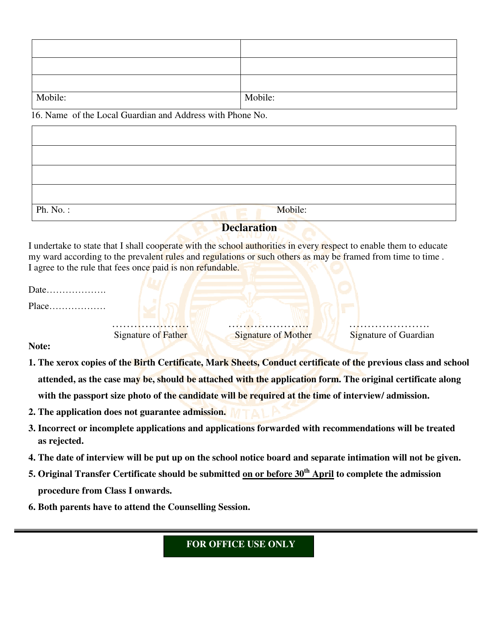| Mobile: | Mobile: |
|---------|---------|

16. Name of the Local Guardian and Address with Phone No.

| Ph. No.: | Mobile:<br><b>Section</b> |  |
|----------|---------------------------|--|

## **Declaration**

I undertake to state that I shall cooperate with the school authorities in every respect to enable them to educate my ward according to the prevalent rules and regulations or such others as may be framed from time to time. I agree to the rule that fees once paid is non refundable.

| Date.<br>. |                     |                            |                       |  |
|------------|---------------------|----------------------------|-----------------------|--|
| $Place$    |                     |                            |                       |  |
|            | Signature of Father | <b>Signature of Mother</b> | Signature of Guardian |  |

**Note:** 

- **1. The xerox copies of the Birth Certificate, Mark Sheets, Conduct certificate of the previous class and school attended, as the case may be, should be attached with the application form. The original certificate along**  with the passport size photo of the candidate will be required at the time of interview/ admission.
- **2. The application does not guarantee admission.**
- **3. Incorrect or incomplete applications and applications forwarded with recommendations will be treated as rejected.**
- **4. The date of interview will be put up on the school notice board and separate intimation will not be given.**
- **5. Original Transfer Certificate should be submitted on or before 30th April to complete the admission procedure from Class I onwards.**
- **6. Both parents have to attend the Counselling Session.**

## **FOR OFFICE USE ONLY**